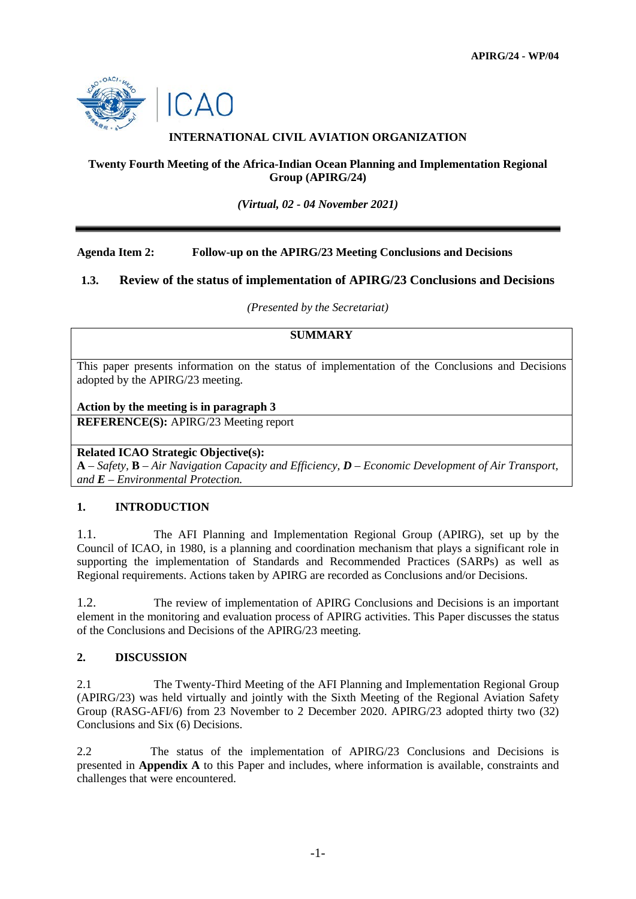

# **INTERNATIONAL CIVIL AVIATION ORGANIZATION**

## **Twenty Fourth Meeting of the Africa-Indian Ocean Planning and Implementation Regional Group (APIRG/24)**

*(Virtual, 02 - 04 November 2021)*

## **Agenda Item 2: Follow-up on the APIRG/23 Meeting Conclusions and Decisions**

## **1.3. Review of the status of implementation of APIRG/23 Conclusions and Decisions**

*(Presented by the Secretariat)*

# **SUMMARY**

This paper presents information on the status of implementation of the Conclusions and Decisions adopted by the APIRG/23 meeting.

#### **Action by the meeting is in paragraph 3**

**REFERENCE(S):** APIRG/23 Meeting report

### **Related ICAO Strategic Objective(s):**

**A** – *Safety,* **B** – *Air Navigation Capacity and Efficiency, D – Economic Development of Air Transport, and E – Environmental Protection.*

### **1. INTRODUCTION**

1.1. The AFI Planning and Implementation Regional Group (APIRG), set up by the Council of ICAO, in 1980, is a planning and coordination mechanism that plays a significant role in supporting the implementation of Standards and Recommended Practices (SARPs) as well as Regional requirements. Actions taken by APIRG are recorded as Conclusions and/or Decisions.

1.2. The review of implementation of APIRG Conclusions and Decisions is an important element in the monitoring and evaluation process of APIRG activities. This Paper discusses the status of the Conclusions and Decisions of the APIRG/23 meeting.

### **2. DISCUSSION**

2.1 The Twenty-Third Meeting of the AFI Planning and Implementation Regional Group (APIRG/23) was held virtually and jointly with the Sixth Meeting of the Regional Aviation Safety Group (RASG-AFI/6) from 23 November to 2 December 2020. APIRG/23 adopted thirty two (32) Conclusions and Six (6) Decisions.

2.2 The status of the implementation of APIRG/23 Conclusions and Decisions is presented in **Appendix A** to this Paper and includes, where information is available, constraints and challenges that were encountered.